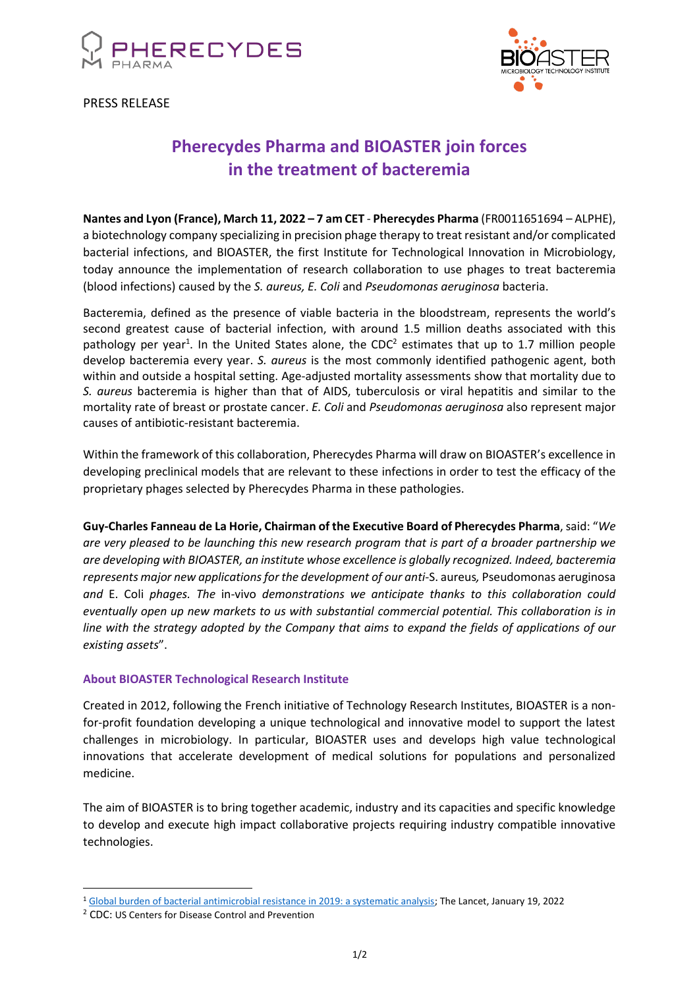

PRESS RELEASE



# **Pherecydes Pharma and BIOASTER join forces in the treatment of bacteremia**

**Nantes and Lyon (France), March 11, 2022 – 7 am CET** - **Pherecydes Pharma** (FR0011651694 – ALPHE), a biotechnology company specializing in precision phage therapy to treat resistant and/or complicated bacterial infections, and BIOASTER, the first Institute for Technological Innovation in Microbiology, today announce the implementation of research collaboration to use phages to treat bacteremia (blood infections) caused by the *S. aureus, E. Coli* and *Pseudomonas aeruginosa* bacteria.

Bacteremia, defined as the presence of viable bacteria in the bloodstream, represents the world's second greatest cause of bacterial infection, with around 1.5 million deaths associated with this pathology per year<sup>1</sup>. In the United States alone, the CDC<sup>2</sup> estimates that up to 1.7 million people develop bacteremia every year. *S. aureus* is the most commonly identified pathogenic agent, both within and outside a hospital setting. Age-adjusted mortality assessments show that mortality due to *S. aureus* bacteremia is higher than that of AIDS, tuberculosis or viral hepatitis and similar to the mortality rate of breast or prostate cancer. *E. Coli* and *Pseudomonas aeruginosa* also represent major causes of antibiotic-resistant bacteremia.

Within the framework of this collaboration, Pherecydes Pharma will draw on BIOASTER's excellence in developing preclinical models that are relevant to these infections in order to test the efficacy of the proprietary phages selected by Pherecydes Pharma in these pathologies.

**Guy-Charles Fanneau de La Horie, Chairman of the Executive Board of Pherecydes Pharma**, said: "*We are very pleased to be launching this new research program that is part of a broader partnership we are developing with BIOASTER, an institute whose excellence is globally recognized. Indeed, bacteremia represents major new applications for the development of our anti-*S. aureus*,* Pseudomonas aeruginosa *and* E. Coli *phages. The* in-vivo *demonstrations we anticipate thanks to this collaboration could eventually open up new markets to us with substantial commercial potential. This collaboration is in line with the strategy adopted by the Company that aims to expand the fields of applications of our existing assets*".

## **About BIOASTER Technological Research Institute**

Created in 2012, following the French initiative of Technology Research Institutes, BIOASTER is a nonfor-profit foundation developing a unique technological and innovative model to support the latest challenges in microbiology. In particular, BIOASTER uses and develops high value technological innovations that accelerate development of medical solutions for populations and personalized medicine.

The aim of BIOASTER is to bring together academic, industry and its capacities and specific knowledge to develop and execute high impact collaborative projects requiring industry compatible innovative technologies.

<sup>1</sup> [Global burden of bacterial antimicrobial resistance in 2019: a systematic analysis;](https://www.thelancet.com/journals/lancet/article/PIIS0140-6736(21)02724-0/fulltext) The Lancet, January 19, 2022

<sup>2</sup> CDC: US Centers for Disease Control and Prevention